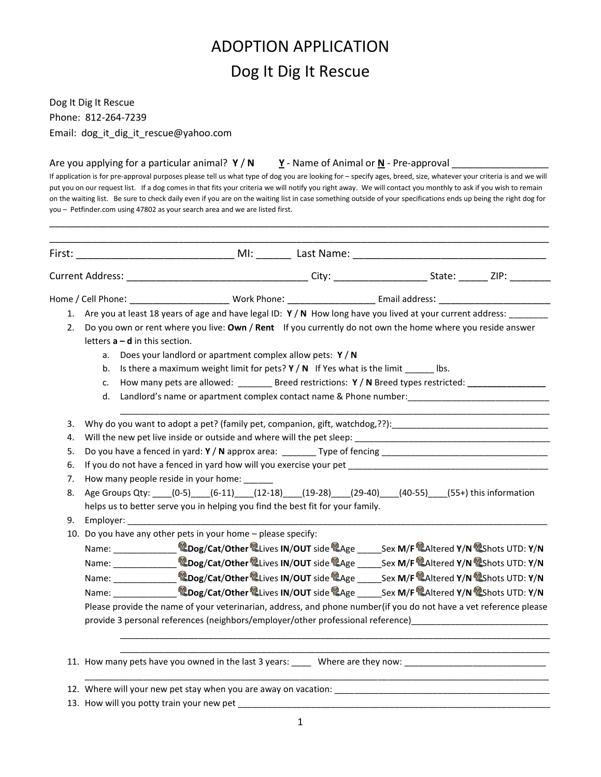## ADOPTION APPLICATION Dog It Dig It Rescue

Dog It Dig It Rescue Phone: 812-264-7239 Email: dog\_it\_dig\_it\_rescue@yahoo.com

Are you applying for a particular animal?  $Y/N$   $Y$  - Name of Animal or  $N$  - Pre-approval

If application is for pre-approval purposes please tell us what type of dog you are looking for – specify ages, breed, size, whatever your criteria is and we will put you on our request list. If a dog comes in that fits your criteria we will notify you right away. We will contact you monthly to ask if you wish to remain on the waiting list. Be sure to check daily even if you are on the waiting list in case something outside of your specifications ends up being the right dog for you – Petfinder.com using 47802 as your search area and we are listed first.

\_\_\_\_\_\_\_\_\_\_\_\_\_\_\_\_\_\_\_\_\_\_\_\_\_\_\_\_\_\_\_\_\_\_\_\_\_\_\_\_\_\_\_\_\_\_\_\_\_\_\_\_\_\_\_\_\_\_\_\_\_\_\_\_\_\_\_\_\_\_\_\_\_\_\_\_\_\_\_\_\_\_\_\_\_\_\_\_\_\_\_\_\_

|    |                                                                                                                |                                                                                                            |  | Home / Cell Phone: North Phone: Nork Phone: North Phone: North Phone: North Phone 2014                            |  |  |  |
|----|----------------------------------------------------------------------------------------------------------------|------------------------------------------------------------------------------------------------------------|--|-------------------------------------------------------------------------------------------------------------------|--|--|--|
|    | 1. Are you at least 18 years of age and have legal ID: Y / N How long have you lived at your current address:  |                                                                                                            |  |                                                                                                                   |  |  |  |
| 2. |                                                                                                                | Do you own or rent where you live: Own / Rent If you currently do not own the home where you reside answer |  |                                                                                                                   |  |  |  |
|    |                                                                                                                | letters $a - d$ in this section.                                                                           |  |                                                                                                                   |  |  |  |
|    | a.                                                                                                             | Does your landlord or apartment complex allow pets: Y / N                                                  |  |                                                                                                                   |  |  |  |
|    | Is there a maximum weight limit for pets? $Y/N$ If Yes what is the limit _______ lbs.<br>b.                    |                                                                                                            |  |                                                                                                                   |  |  |  |
|    | How many pets are allowed: __________ Breed restrictions: Y / N Breed types restricted: ____________<br>c.     |                                                                                                            |  |                                                                                                                   |  |  |  |
|    | Landlord's name or apartment complex contact name & Phone number: _________________________________<br>d.      |                                                                                                            |  |                                                                                                                   |  |  |  |
|    |                                                                                                                |                                                                                                            |  |                                                                                                                   |  |  |  |
| 3. | Why do you want to adopt a pet? (family pet, companion, gift, watchdog,??): __________________________________ |                                                                                                            |  |                                                                                                                   |  |  |  |
| 4. |                                                                                                                |                                                                                                            |  |                                                                                                                   |  |  |  |
| 5. |                                                                                                                |                                                                                                            |  |                                                                                                                   |  |  |  |
| 6. | If you do not have a fenced in yard how will you exercise your pet _________________________________           |                                                                                                            |  |                                                                                                                   |  |  |  |
| 7. | How many people reside in your home: ______                                                                    |                                                                                                            |  |                                                                                                                   |  |  |  |
| 8. | Age Groups Qty: (0-5) (6-11) (12-18) (19-28) (29-40) (40-55) (55+) this information                            |                                                                                                            |  |                                                                                                                   |  |  |  |
|    |                                                                                                                | helps us to better serve you in helping you find the best fit for your family.                             |  |                                                                                                                   |  |  |  |
| 9. |                                                                                                                | Employer:                                                                                                  |  |                                                                                                                   |  |  |  |
|    |                                                                                                                | 10. Do you have any other pets in your home - please specify:                                              |  |                                                                                                                   |  |  |  |
|    |                                                                                                                |                                                                                                            |  |                                                                                                                   |  |  |  |
|    |                                                                                                                |                                                                                                            |  |                                                                                                                   |  |  |  |
|    |                                                                                                                |                                                                                                            |  |                                                                                                                   |  |  |  |
|    |                                                                                                                |                                                                                                            |  |                                                                                                                   |  |  |  |
|    |                                                                                                                | Name: <b>Dog/Cat/Other Lives IN/OUT</b> side @Age _____Sex M/F @Altered Y/N @Shots UTD: Y/N                |  |                                                                                                                   |  |  |  |
|    |                                                                                                                |                                                                                                            |  | Please provide the name of your veterinarian, address, and phone number(if you do not have a vet reference please |  |  |  |
|    |                                                                                                                |                                                                                                            |  | provide 3 personal references (neighbors/employer/other professional reference) __________________________        |  |  |  |
|    |                                                                                                                |                                                                                                            |  |                                                                                                                   |  |  |  |
|    |                                                                                                                |                                                                                                            |  |                                                                                                                   |  |  |  |
|    |                                                                                                                | 12. Where will your new pet stay when you are away on vacation: ___________________________________        |  |                                                                                                                   |  |  |  |